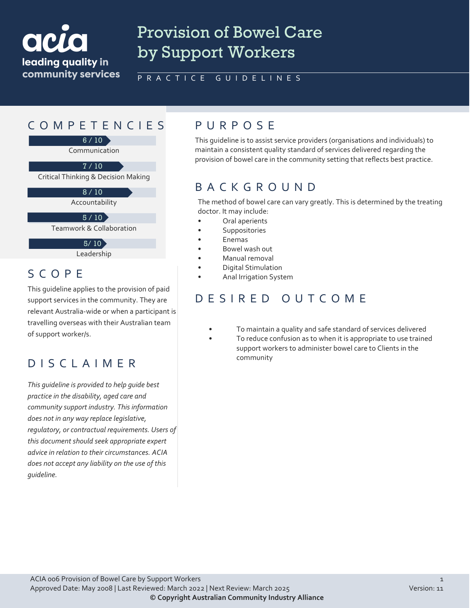

# Provision of Bowel Care by Support Workers

#### PRACTICE GUIDELINES

## COMPETENCIES PURPOS E

6 / 10

Communication

 $7/10$ 

Critical Thinking & Decision Making

 $8/10$ 

Accountability

 $5 / 10$ 

Teamwork & Collaboration

 $5/10$ 

Leadership

#### SCOPE

This guideline applies to the provision of paid support services in the community. They are relevant Australia-wide or when a participant is travelling overseas with their Australian team of support worker/s.

#### DISCLAIMER

*This guideline is provided to help guide best practice in the disability, aged care and community support industry. This information does not in any way replace legislative, regulatory, or contractual requirements. Users of this document should seek appropriate expert advice in relation to their circumstances. ACIA does not accept any liability on the use of this guideline.*

This guideline is to assist service providers (organisations and individuals) to maintain a consistent quality standard of services delivered regarding the provision of bowel care in the community setting that reflects best practice.

#### BACKGROUND

The method of bowel care can vary greatly. This is determined by the treating doctor. It may include:

- Oral aperients
- **Suppositories**
- Enemas
- Bowel wash out
- Manual removal
- Digital Stimulation
- Anal Irrigation System

#### DESIRED OUTCOME

- To maintain a quality and safe standard of services delivered
	- To reduce confusion as to when it is appropriate to use trained support workers to administer bowel care to Clients in the community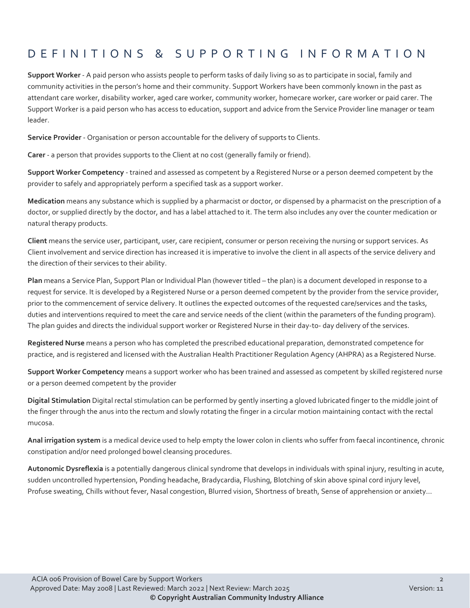## DEFINITIONS & SUPPORTING INFORMATIO N

**Support Worker** - A paid person who assists people to perform tasks of daily living so as to participate in social, family and community activities in the person's home and their community. Support Workers have been commonly known in the past as attendant care worker, disability worker, aged care worker, community worker, homecare worker, care worker or paid carer. The Support Worker is a paid person who has access to education, support and advice from the Service Provider line manager or team leader.

**Service Provider** - Organisation or person accountable for the delivery of supports to Clients.

**Carer** - a person that provides supports to the Client at no cost (generally family or friend).

**Support Worker Competency** - trained and assessed as competent by a Registered Nurse or a person deemed competent by the provider to safely and appropriately perform a specified task as a support worker.

**Medication** means any substance which is supplied by a pharmacist or doctor, or dispensed by a pharmacist on the prescription of a doctor, or supplied directly by the doctor, and has a label attached to it. The term also includes any over the counter medication or natural therapy products.

**Client** means the service user, participant, user, care recipient, consumer or person receiving the nursing or support services. As Client involvement and service direction has increased it is imperative to involve the client in all aspects of the service delivery and the direction of their services to their ability.

**Plan** means a Service Plan, Support Plan or Individual Plan (however titled – the plan) is a document developed in response to a request for service. It is developed by a Registered Nurse or a person deemed competent by the provider from the service provider, prior to the commencement of service delivery. It outlines the expected outcomes of the requested care/services and the tasks, duties and interventions required to meet the care and service needs of the client (within the parameters of the funding program). The plan guides and directs the individual support worker or Registered Nurse in their day-to- day delivery of the services.

**Registered Nurse** means a person who has completed the prescribed educational preparation, demonstrated competence for practice, and is registered and licensed with the Australian Health Practitioner Regulation Agency (AHPRA) as a Registered Nurse.

**Support Worker Competency** means a support worker who has been trained and assessed as competent by skilled registered nurse or a person deemed competent by the provider

**Digital Stimulation** Digital rectal stimulation can be performed by gently inserting a gloved lubricated finger to the middle joint of the finger through the anus into the rectum and slowly rotating the finger in a circular motion maintaining contact with the rectal mucosa.

**Anal irrigation system** is a medical device used to help empty the lower colon in clients who suffer from faecal incontinence, chronic constipation and/or need prolonged bowel cleansing procedures.

**Autonomic Dysreflexia** is a potentially dangerous clinical syndrome that develops in individuals with spinal injury, resulting in acute, sudden uncontrolled hypertension, Ponding headache, Bradycardia, Flushing, Blotching of skin above spinal cord injury level, Profuse sweating, Chills without fever, Nasal congestion, Blurred vision, Shortness of breath, Sense of apprehension or anxiety...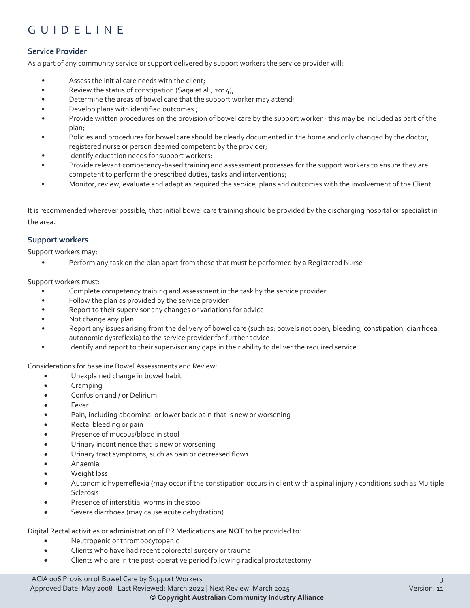## GUIDELINE

#### **Service Provider**

As a part of any community service or support delivered by support workers the service provider will:

- Assess the initial care needs with the client;
- Review the status of constipation (Saga et al., 2014);
- Determine the areas of bowel care that the support worker may attend;
- Develop plans with identified outcomes ;
- Provide written procedures on the provision of bowel care by the support worker this may be included as part of the plan;
- Policies and procedures for bowel care should be clearly documented in the home and only changed by the doctor, registered nurse or person deemed competent by the provider;
- Identify education needs for support workers;
- Provide relevant competency-based training and assessment processes for the support workers to ensure they are competent to perform the prescribed duties, tasks and interventions;
- Monitor, review, evaluate and adapt as required the service, plans and outcomes with the involvement of the Client.

It is recommended wherever possible, that initial bowel care training should be provided by the discharging hospital or specialist in the area.

#### **Support workers**

Support workers may:

• Perform any task on the plan apart from those that must be performed by a Registered Nurse

Support workers must:

- Complete competency training and assessment in the task by the service provider
- Follow the plan as provided by the service provider
- Report to their supervisor any changes or variations for advice
- Not change any plan
- Report any issues arising from the delivery of bowel care (such as: bowels not open, bleeding, constipation, diarrhoea, autonomic dysreflexia) to the service provider for further advice
- Identify and report to their supervisor any gaps in their ability to deliver the required service

Considerations for baseline Bowel Assessments and Review:

- Unexplained change in bowel habit
- Cramping
- Confusion and / or Delirium
- **Fever**
- Pain, including abdominal or lower back pain that is new or worsening
- Rectal bleeding or pain
- Presence of mucous/blood in stool
- Urinary incontinence that is new or worsening
- Urinary tract symptoms, such as pain or decreased flow1
- Anaemia
- Weight loss
- Autonomic hyperreflexia (may occur if the constipation occurs in client with a spinal injury / conditions such as Multiple Sclerosis
- Presence of interstitial worms in the stool
- Severe diarrhoea (may cause acute dehydration)

Digital Rectal activities or administration of PR Medications are **NOT** to be provided to:

- Neutropenic or thrombocytopenic
- Clients who have had recent colorectal surgery or trauma
- Clients who are in the post-operative period following radical prostatectomy

ACIA 006 Provision of Bowel Care by Support Workers 3

Approved Date: May 2008 | Last Reviewed: March 2022 | Next Review: March 2025 Version: 11 **© Copyright Australian Community Industry Alliance**